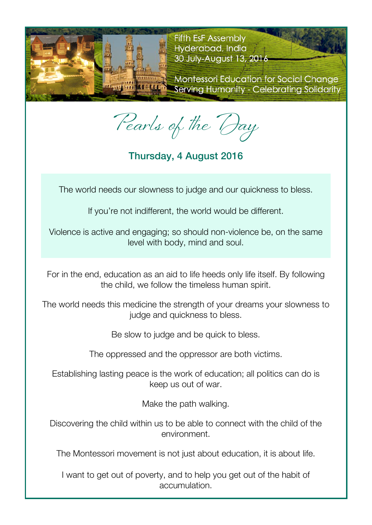

**Fifth EsF Assembly** Hyderabad, India 30 July-August 13, 2016

**Montessori Education for Social Change** Serving Humanity - Celebrating Solidarity

Pearls of the Day

Thursday, 4 August 2016

The world needs our slowness to judge and our quickness to bless.

If you're not indifferent, the world would be different.

Violence is active and engaging; so should non-violence be, on the same level with body, mind and soul.

For in the end, education as an aid to life heeds only life itself. By following the child, we follow the timeless human spirit.

The world needs this medicine the strength of your dreams your slowness to judge and quickness to bless.

Be slow to judge and be quick to bless.

The oppressed and the oppressor are both victims.

Establishing lasting peace is the work of education; all politics can do is keep us out of war.

Make the path walking.

Discovering the child within us to be able to connect with the child of the environment.

The Montessori movement is not just about education, it is about life.

I want to get out of poverty, and to help you get out of the habit of accumulation.